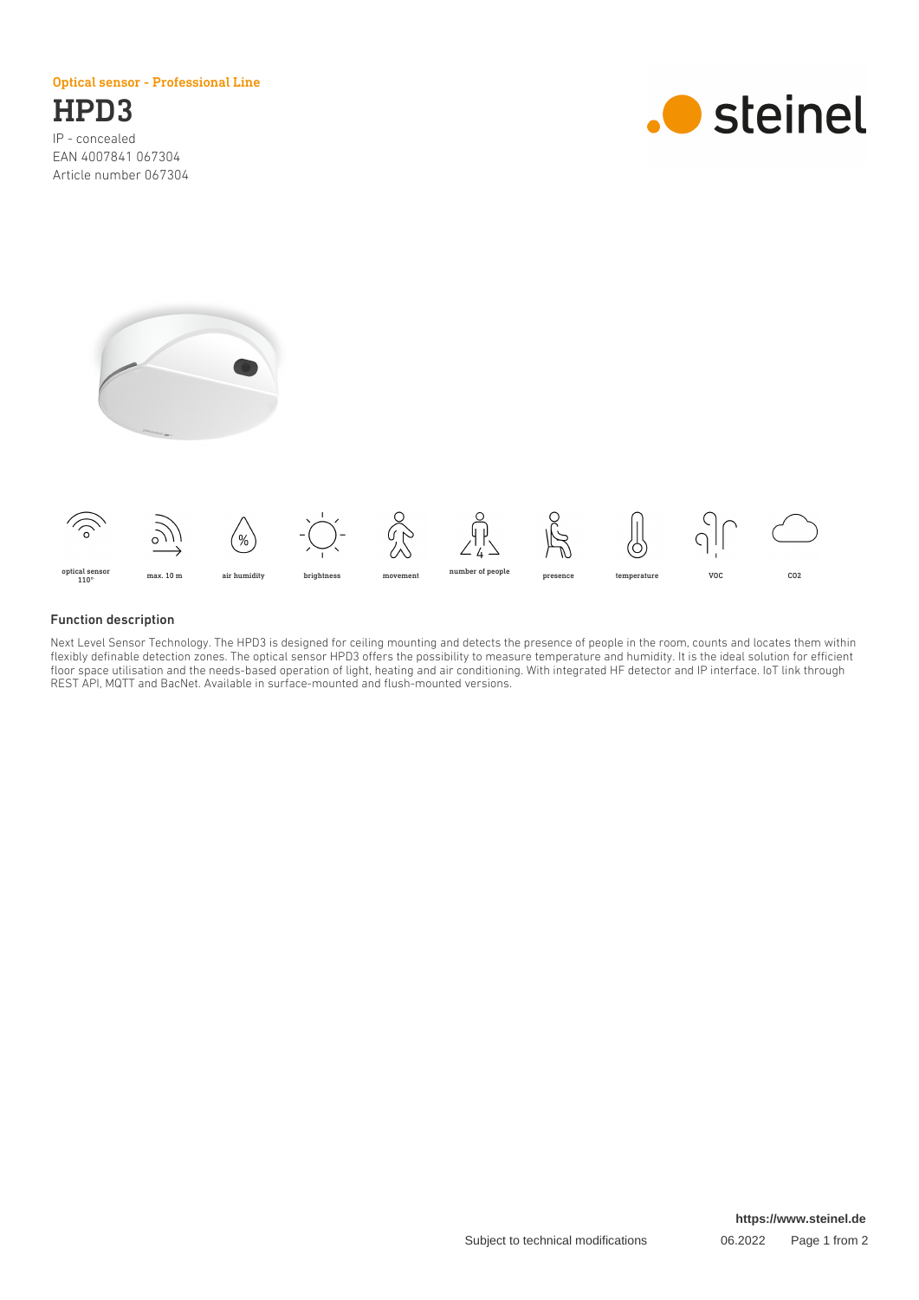Optical sensor - Professional Line

# HPD3

IP - concealed EAN 4007841 067304 Article number 067304







### Function description

Next Level Sensor Technology. The HPD3 is designed for ceiling mounting and detects the presence of people in the room, counts and locates them within flexibly definable detection zones. The optical sensor HPD3 offers the possibility to measure temperature and humidity. It is the ideal solution for efficient floor space utilisation and the needs-based operation of light, heating and air conditioning. With integrated HF detector and IP interface. IoT link through REST API, MQTT and BacNet. Available in surface-mounted and flush-mounted versions.